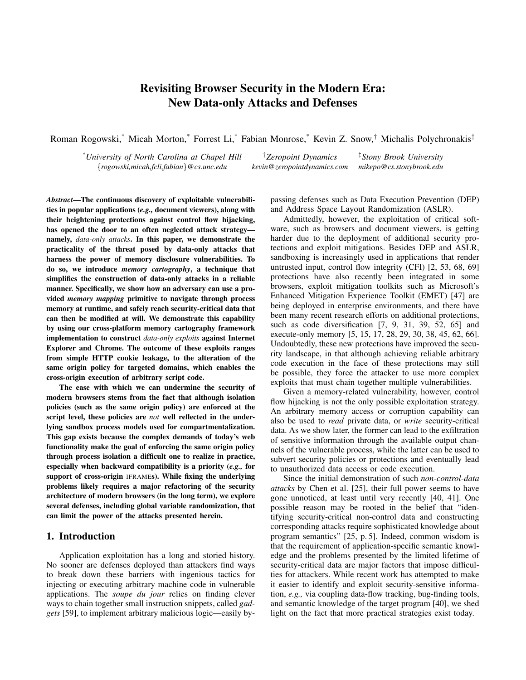# Revisiting Browser Security in the Modern Era: New Data-only Attacks and Defenses

Roman Rogowski,\* Micah Morton,\* Forrest Li,\* Fabian Monrose,\* Kevin Z. Snow,† Michalis Polychronakis‡

*\*University of North Carolina at Chapel Hill* †*Zeropoint Dynamics* ‡*Stony Brook University* {*rogowski,micah,fcli,fabian*}*@cs.unc.edu kevin@zeropointdynamics.com mikepo@cs.stonybrook.edu*

*Abstract*—The continuous discovery of exploitable vulnerabilities in popular applications (*e.g.,* document viewers), along with their heightening protections against control flow hijacking, has opened the door to an often neglected attack strategy namely, *data-only attacks*. In this paper, we demonstrate the practicality of the threat posed by data-only attacks that harness the power of memory disclosure vulnerabilities. To do so, we introduce *memory cartography*, a technique that simplifies the construction of data-only attacks in a reliable manner. Specifically, we show how an adversary can use a provided *memory mapping* primitive to navigate through process memory at runtime, and safely reach security-critical data that can then be modified at will. We demonstrate this capability by using our cross-platform memory cartography framework implementation to construct *data-only exploits* against Internet Explorer and Chrome. The outcome of these exploits ranges from simple HTTP cookie leakage, to the alteration of the same origin policy for targeted domains, which enables the cross-origin execution of arbitrary script code.

The ease with which we can undermine the security of modern browsers stems from the fact that although isolation policies (such as the same origin policy) are enforced at the script level, these policies are *not* well reflected in the underlying sandbox process models used for compartmentalization. This gap exists because the complex demands of today's web functionality make the goal of enforcing the same origin policy through process isolation a difficult one to realize in practice, especially when backward compatibility is a priority (*e.g.,* for support of cross-origin IFRAMEs). While fixing the underlying problems likely requires a major refactoring of the security architecture of modern browsers (in the long term), we explore several defenses, including global variable randomization, that can limit the power of the attacks presented herein.

# 1. Introduction

Application exploitation has a long and storied history. No sooner are defenses deployed than attackers find ways to break down these barriers with ingenious tactics for injecting or executing arbitrary machine code in vulnerable applications. The *soupe du jour* relies on finding clever ways to chain together small instruction snippets, called *gadgets* [59], to implement arbitrary malicious logic—easily bypassing defenses such as Data Execution Prevention (DEP) and Address Space Layout Randomization (ASLR).

Admittedly, however, the exploitation of critical software, such as browsers and document viewers, is getting harder due to the deployment of additional security protections and exploit mitigations. Besides DEP and ASLR, sandboxing is increasingly used in applications that render untrusted input, control flow integrity (CFI) [2, 53, 68, 69] protections have also recently been integrated in some browsers, exploit mitigation toolkits such as Microsoft's Enhanced Mitigation Experience Toolkit (EMET) [47] are being deployed in enterprise environments, and there have been many recent research efforts on additional protections, such as code diversification [7, 9, 31, 39, 52, 65] and execute-only memory [5, 15, 17, 28, 29, 30, 38, 45, 62, 66]. Undoubtedly, these new protections have improved the security landscape, in that although achieving reliable arbitrary code execution in the face of these protections may still be possible, they force the attacker to use more complex exploits that must chain together multiple vulnerabilities.

Given a memory-related vulnerability, however, control flow hijacking is not the only possible exploitation strategy. An arbitrary memory access or corruption capability can also be used to *read* private data, or *write* security-critical data. As we show later, the former can lead to the exfiltration of sensitive information through the available output channels of the vulnerable process, while the latter can be used to subvert security policies or protections and eventually lead to unauthorized data access or code execution.

Since the initial demonstration of such *non-control-data attacks* by Chen et al. [25], their full power seems to have gone unnoticed, at least until very recently [40, 41]. One possible reason may be rooted in the belief that "identifying security-critical non-control data and constructing corresponding attacks require sophisticated knowledge about program semantics" [25, p. 5]. Indeed, common wisdom is that the requirement of application-specific semantic knowledge and the problems presented by the limited lifetime of security-critical data are major factors that impose difficulties for attackers. While recent work has attempted to make it easier to identify and exploit security-sensitive information, *e.g.,* via coupling data-flow tracking, bug-finding tools, and semantic knowledge of the target program [40], we shed light on the fact that more practical strategies exist today.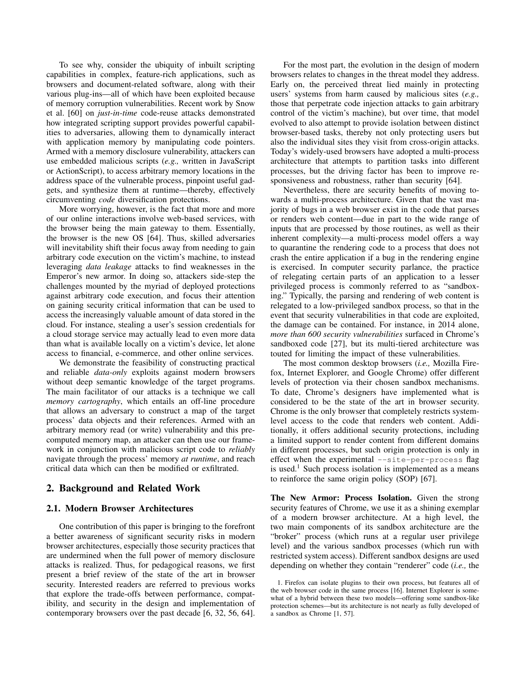To see why, consider the ubiquity of inbuilt scripting capabilities in complex, feature-rich applications, such as browsers and document-related software, along with their various plug-ins—all of which have been exploited because of memory corruption vulnerabilities. Recent work by Snow et al. [60] on *just-in-time* code-reuse attacks demonstrated how integrated scripting support provides powerful capabilities to adversaries, allowing them to dynamically interact with application memory by manipulating code pointers. Armed with a memory disclosure vulnerability, attackers can use embedded malicious scripts (*e.g.,* written in JavaScript or ActionScript), to access arbitrary memory locations in the address space of the vulnerable process, pinpoint useful gadgets, and synthesize them at runtime—thereby, effectively circumventing *code* diversification protections.

More worrying, however, is the fact that more and more of our online interactions involve web-based services, with the browser being the main gateway to them. Essentially, the browser is the new OS [64]. Thus, skilled adversaries will inevitability shift their focus away from needing to gain arbitrary code execution on the victim's machine, to instead leveraging *data leakage* attacks to find weaknesses in the Emperor's new armor. In doing so, attackers side-step the challenges mounted by the myriad of deployed protections against arbitrary code execution, and focus their attention on gaining security critical information that can be used to access the increasingly valuable amount of data stored in the cloud. For instance, stealing a user's session credentials for a cloud storage service may actually lead to even more data than what is available locally on a victim's device, let alone access to financial, e-commerce, and other online services.

We demonstrate the feasibility of constructing practical and reliable *data-only* exploits against modern browsers without deep semantic knowledge of the target programs. The main facilitator of our attacks is a technique we call *memory cartography*, which entails an off-line procedure that allows an adversary to construct a map of the target process' data objects and their references. Armed with an arbitrary memory read (or write) vulnerability and this precomputed memory map, an attacker can then use our framework in conjunction with malicious script code to *reliably* navigate through the process' memory *at runtime*, and reach critical data which can then be modified or exfiltrated.

# 2. Background and Related Work

# 2.1. Modern Browser Architectures

One contribution of this paper is bringing to the forefront a better awareness of significant security risks in modern browser architectures, especially those security practices that are undermined when the full power of memory disclosure attacks is realized. Thus, for pedagogical reasons, we first present a brief review of the state of the art in browser security. Interested readers are referred to previous works that explore the trade-offs between performance, compatibility, and security in the design and implementation of contemporary browsers over the past decade [6, 32, 56, 64].

For the most part, the evolution in the design of modern browsers relates to changes in the threat model they address. Early on, the perceived threat lied mainly in protecting users' systems from harm caused by malicious sites (*e.g.,* those that perpetrate code injection attacks to gain arbitrary control of the victim's machine), but over time, that model evolved to also attempt to provide isolation between distinct browser-based tasks, thereby not only protecting users but also the individual sites they visit from cross-origin attacks. Today's widely-used browsers have adopted a multi-process architecture that attempts to partition tasks into different processes, but the driving factor has been to improve responsiveness and robustness, rather than security [64].

Nevertheless, there are security benefits of moving towards a multi-process architecture. Given that the vast majority of bugs in a web browser exist in the code that parses or renders web content—due in part to the wide range of inputs that are processed by those routines, as well as their inherent complexity—a multi-process model offers a way to quarantine the rendering code to a process that does not crash the entire application if a bug in the rendering engine is exercised. In computer security parlance, the practice of relegating certain parts of an application to a lesser privileged process is commonly referred to as "sandboxing." Typically, the parsing and rendering of web content is relegated to a low-privileged sandbox process, so that in the event that security vulnerabilities in that code are exploited, the damage can be contained. For instance, in 2014 alone, *more than 600 security vulnerabilities* surfaced in Chrome's sandboxed code [27], but its multi-tiered architecture was touted for limiting the impact of these vulnerabilities.

The most common desktop browsers (*i.e.,* Mozilla Firefox, Internet Explorer, and Google Chrome) offer different levels of protection via their chosen sandbox mechanisms. To date, Chrome's designers have implemented what is considered to be the state of the art in browser security. Chrome is the only browser that completely restricts systemlevel access to the code that renders web content. Additionally, it offers additional security protections, including a limited support to render content from different domains in different processes, but such origin protection is only in effect when the experimental  $--$ site-per-process flag is used.<sup>1</sup> Such process isolation is implemented as a means to reinforce the same origin policy (SOP) [67].

The New Armor: Process Isolation. Given the strong security features of Chrome, we use it as a shining exemplar of a modern browser architecture. At a high level, the two main components of its sandbox architecture are the "broker" process (which runs at a regular user privilege level) and the various sandbox processes (which run with restricted system access). Different sandbox designs are used depending on whether they contain "renderer" code (*i.e.,* the

<sup>1.</sup> Firefox can isolate plugins to their own process, but features all of the web browser code in the same process [16]. Internet Explorer is somewhat of a hybrid between these two models—offering some sandbox-like protection schemes—but its architecture is not nearly as fully developed of a sandbox as Chrome [1, 57].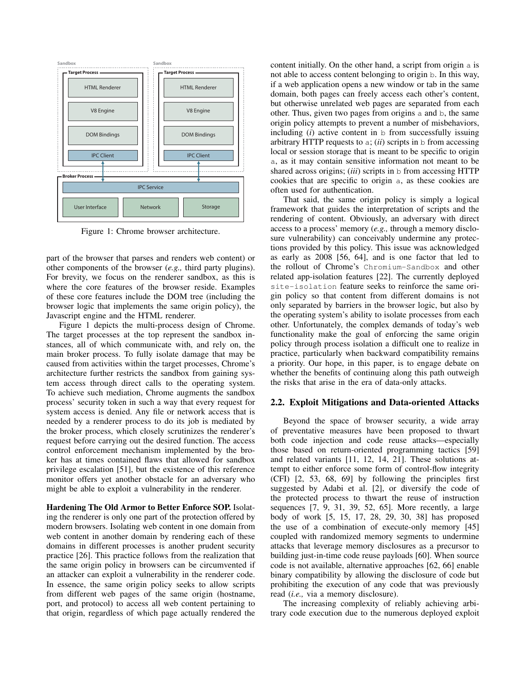

Figure 1: Chrome browser architecture.

part of the browser that parses and renders web content) or other components of the browser (*e.g.,* third party plugins). For brevity, we focus on the renderer sandbox, as this is where the core features of the browser reside. Examples of these core features include the DOM tree (including the browser logic that implements the same origin policy), the Javascript engine and the HTML renderer.

Figure 1 depicts the multi-process design of Chrome. The target processes at the top represent the sandbox instances, all of which communicate with, and rely on, the main broker process. To fully isolate damage that may be caused from activities within the target processes, Chrome's architecture further restricts the sandbox from gaining system access through direct calls to the operating system. To achieve such mediation, Chrome augments the sandbox process' security token in such a way that every request for system access is denied. Any file or network access that is needed by a renderer process to do its job is mediated by the broker process, which closely scrutinizes the renderer's request before carrying out the desired function. The access control enforcement mechanism implemented by the broker has at times contained flaws that allowed for sandbox privilege escalation [51], but the existence of this reference monitor offers yet another obstacle for an adversary who might be able to exploit a vulnerability in the renderer.

Hardening The Old Armor to Better Enforce SOP. Isolating the renderer is only one part of the protection offered by modern browsers. Isolating web content in one domain from web content in another domain by rendering each of these domains in different processes is another prudent security practice [26]. This practice follows from the realization that the same origin policy in browsers can be circumvented if an attacker can exploit a vulnerability in the renderer code. In essence, the same origin policy seeks to allow scripts from different web pages of the same origin (hostname, port, and protocol) to access all web content pertaining to that origin, regardless of which page actually rendered the content initially. On the other hand, a script from origin a is not able to access content belonging to origin b. In this way, if a web application opens a new window or tab in the same domain, both pages can freely access each other's content, but otherwise unrelated web pages are separated from each other. Thus, given two pages from origins a and b, the same origin policy attempts to prevent a number of misbehaviors, including (*i*) active content in b from successfully issuing arbitrary HTTP requests to a; (*ii*) scripts in b from accessing local or session storage that is meant to be specific to origin a, as it may contain sensitive information not meant to be shared across origins; *(iii)* scripts in b from accessing HTTP cookies that are specific to origin a, as these cookies are often used for authentication.

That said, the same origin policy is simply a logical framework that guides the interpretation of scripts and the rendering of content. Obviously, an adversary with direct access to a process' memory (*e.g.,* through a memory disclosure vulnerability) can conceivably undermine any protections provided by this policy. This issue was acknowledged as early as 2008 [56, 64], and is one factor that led to the rollout of Chrome's Chromium-Sandbox and other related app-isolation features [22]. The currently deployed site-isolation feature seeks to reinforce the same origin policy so that content from different domains is not only separated by barriers in the browser logic, but also by the operating system's ability to isolate processes from each other. Unfortunately, the complex demands of today's web functionality make the goal of enforcing the same origin policy through process isolation a difficult one to realize in practice, particularly when backward compatibility remains a priority. Our hope, in this paper, is to engage debate on whether the benefits of continuing along this path outweigh the risks that arise in the era of data-only attacks.

#### 2.2. Exploit Mitigations and Data-oriented Attacks

Beyond the space of browser security, a wide array of preventative measures have been proposed to thwart both code injection and code reuse attacks—especially those based on return-oriented programming tactics [59] and related variants [11, 12, 14, 21]. These solutions attempt to either enforce some form of control-flow integrity (CFI) [2, 53, 68, 69] by following the principles first suggested by Adabi et al. [2], or diversify the code of the protected process to thwart the reuse of instruction sequences [7, 9, 31, 39, 52, 65]. More recently, a large body of work [5, 15, 17, 28, 29, 30, 38] has proposed the use of a combination of execute-only memory [45] coupled with randomized memory segments to undermine attacks that leverage memory disclosures as a precursor to building just-in-time code reuse payloads [60]. When source code is not available, alternative approaches [62, 66] enable binary compatibility by allowing the disclosure of code but prohibiting the execution of any code that was previously read (*i.e.,* via a memory disclosure).

The increasing complexity of reliably achieving arbitrary code execution due to the numerous deployed exploit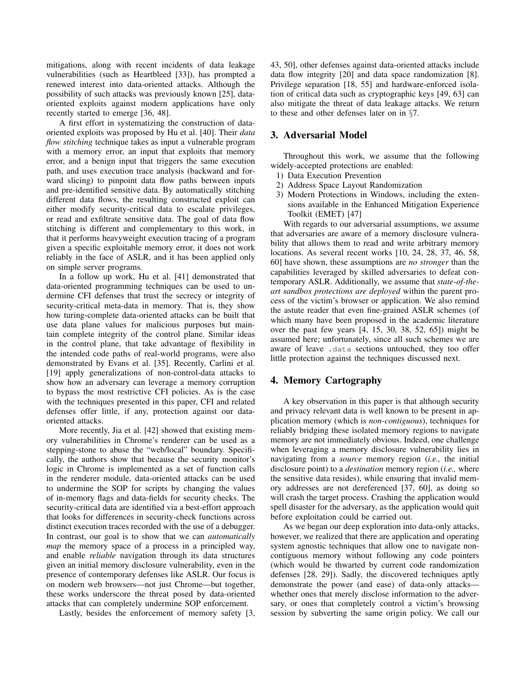mitigations, along with recent incidents of data leakage vulnerabilities (such as Heartbleed [33]), has prompted a renewed interest into data-oriented attacks. Although the possibility of such attacks was previously known [25], dataoriented exploits against modern applications have only recently started to emerge [36, 48].

A first effort in systematizing the construction of dataoriented exploits was proposed by Hu et al. [40]. Their *data flow stitching* technique takes as input a vulnerable program with a memory error, an input that exploits that memory error, and a benign input that triggers the same execution path, and uses execution trace analysis (backward and forward slicing) to pinpoint data flow paths between inputs and pre-identified sensitive data. By automatically stitching different data flows, the resulting constructed exploit can either modify security-critical data to escalate privileges, or read and exfiltrate sensitive data. The goal of data flow stitching is different and complementary to this work, in that it performs heavyweight execution tracing of a program given a specific exploitable memory error, it does not work reliably in the face of ASLR, and it has been applied only on simple server programs.

In a follow up work, Hu et al. [41] demonstrated that data-oriented programming techniques can be used to undermine CFI defenses that trust the secrecy or integrity of security-critical meta-data in memory. That is, they show how turing-complete data-oriented attacks can be built that use data plane values for malicious purposes but maintain complete integrity of the control plane. Similar ideas in the control plane, that take advantage of flexibility in the intended code paths of real-world programs, were also demonstrated by Evans et al. [35]. Recently, Carlini et al. [19] apply generalizations of non-control-data attacks to show how an adversary can leverage a memory corruption to bypass the most restrictive CFI policies. As is the case with the techniques presented in this paper, CFI and related defenses offer little, if any, protection against our dataoriented attacks.

More recently, Jia et al. [42] showed that existing memory vulnerabilities in Chrome's renderer can be used as a stepping-stone to abuse the "web/local" boundary. Specifically, the authors show that because the security monitor's logic in Chrome is implemented as a set of function calls in the renderer module, data-oriented attacks can be used to undermine the SOP for scripts by changing the values of in-memory flags and data-fields for security checks. The security-critical data are identified via a best-effort approach that looks for differences in security-check functions across distinct execution traces recorded with the use of a debugger. In contrast, our goal is to show that we can *automatically map* the memory space of a process in a principled way, and enable *reliable* navigation through its data structures given an initial memory disclosure vulnerability, even in the presence of contemporary defenses like ASLR. Our focus is on modern web browsers—not just Chrome—but together, these works underscore the threat posed by data-oriented attacks that can completely undermine SOP enforcement.

Lastly, besides the enforcement of memory safety [3,

43, 50], other defenses against data-oriented attacks include data flow integrity [20] and data space randomization [8]. Privilege separation [18, 55] and hardware-enforced isolation of critical data such as cryptographic keys [49, 63] can also mitigate the threat of data leakage attacks. We return to these and other defenses later on in §7.

# 3. Adversarial Model

Throughout this work, we assume that the following widely-accepted protections are enabled:

- 1) Data Execution Prevention
- 2) Address Space Layout Randomization
- 3) Modern Protections in Windows, including the extensions available in the Enhanced Mitigation Experience Toolkit (EMET) [47]

With regards to our adversarial assumptions, we assume that adversaries are aware of a memory disclosure vulnerability that allows them to read and write arbitrary memory locations. As several recent works [10, 24, 28, 37, 46, 58, 60] have shown, these assumptions are *no stronger* than the capabilities leveraged by skilled adversaries to defeat contemporary ASLR. Additionally, we assume that *state-of-theart sandbox protections are deployed* within the parent process of the victim's browser or application. We also remind the astute reader that even fine-grained ASLR schemes (of which many have been proposed in the academic literature over the past few years [4, 15, 30, 38, 52, 65]) might be assumed here; unfortunately, since all such schemes we are aware of leave .data sections untouched, they too offer little protection against the techniques discussed next.

# 4. Memory Cartography

A key observation in this paper is that although security and privacy relevant data is well known to be present in application memory (which is *non-contiguous*), techniques for reliably bridging these isolated memory regions to navigate memory are not immediately obvious. Indeed, one challenge when leveraging a memory disclosure vulnerability lies in navigating from a *source* memory region (*i.e.,* the initial disclosure point) to a *destination* memory region (*i.e.,* where the sensitive data resides), while ensuring that invalid memory addresses are not dereferenced [37, 60], as doing so will crash the target process. Crashing the application would spell disaster for the adversary, as the application would quit before exploitation could be carried out.

As we began our deep exploration into data-only attacks, however, we realized that there are application and operating system agnostic techniques that allow one to navigate noncontiguous memory without following any code pointers (which would be thwarted by current code randomization defenses [28, 29]). Sadly, the discovered techniques aptly demonstrate the power (and ease) of data-only attacks whether ones that merely disclose information to the adversary, or ones that completely control a victim's browsing session by subverting the same origin policy. We call our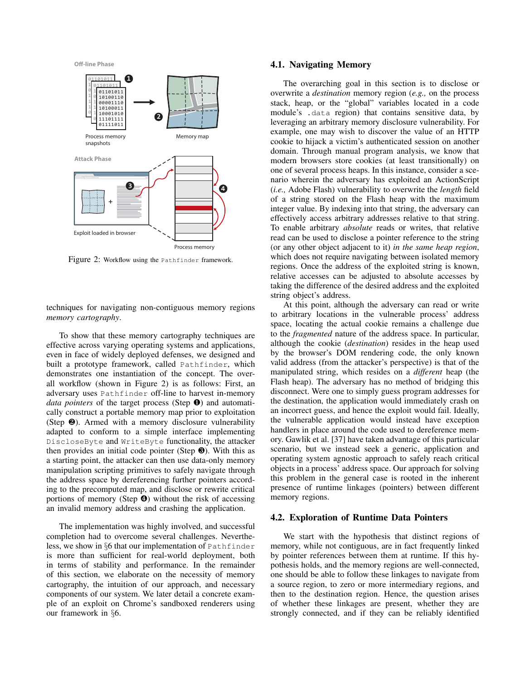

Figure 2: Workflow using the Pathfinder framework.

techniques for navigating non-contiguous memory regions *memory cartography*.

To show that these memory cartography techniques are effective across varying operating systems and applications, even in face of widely deployed defenses, we designed and built a prototype framework, called Pathfinder, which demonstrates one instantiation of the concept. The overall workflow (shown in Figure 2) is as follows: First, an adversary uses Pathfinder off-line to harvest in-memory *data pointers* of the target process (Step ❶) and automatically construct a portable memory map prior to exploitation (Step ❷). Armed with a memory disclosure vulnerability adapted to conform to a simple interface implementing DiscloseByte and WriteByte functionality, the attacker then provides an initial code pointer (Step  $\Theta$ ). With this as a starting point, the attacker can then use data-only memory manipulation scripting primitives to safely navigate through the address space by dereferencing further pointers according to the precomputed map, and disclose or rewrite critical portions of memory (Step  $\Theta$ ) without the risk of accessing an invalid memory address and crashing the application.

The implementation was highly involved, and successful completion had to overcome several challenges. Nevertheless, we show in  $§6$  that our implementation of Pathfinder is more than sufficient for real-world deployment, both in terms of stability and performance. In the remainder of this section, we elaborate on the necessity of memory cartography, the intuition of our approach, and necessary components of our system. We later detail a concrete example of an exploit on Chrome's sandboxed renderers using our framework in §6.

#### 4.1. Navigating Memory

The overarching goal in this section is to disclose or overwrite a *destination* memory region (*e.g.,* on the process stack, heap, or the "global" variables located in a code module's .data region) that contains sensitive data, by leveraging an arbitrary memory disclosure vulnerability. For example, one may wish to discover the value of an HTTP cookie to hijack a victim's authenticated session on another domain. Through manual program analysis, we know that modern browsers store cookies (at least transitionally) on one of several process heaps. In this instance, consider a scenario wherein the adversary has exploited an ActionScript (*i.e.,* Adobe Flash) vulnerability to overwrite the *length* field of a string stored on the Flash heap with the maximum integer value. By indexing into that string, the adversary can effectively access arbitrary addresses relative to that string. To enable arbitrary *absolute* reads or writes, that relative read can be used to disclose a pointer reference to the string (or any other object adjacent to it) *in the same heap region*, which does not require navigating between isolated memory regions. Once the address of the exploited string is known, relative accesses can be adjusted to absolute accesses by taking the difference of the desired address and the exploited string object's address.

At this point, although the adversary can read or write to arbitrary locations in the vulnerable process' address space, locating the actual cookie remains a challenge due to the *fragmented* nature of the address space. In particular, although the cookie (*destination*) resides in the heap used by the browser's DOM rendering code, the only known valid address (from the attacker's perspective) is that of the manipulated string, which resides on a *different* heap (the Flash heap). The adversary has no method of bridging this disconnect. Were one to simply guess program addresses for the destination, the application would immediately crash on an incorrect guess, and hence the exploit would fail. Ideally, the vulnerable application would instead have exception handlers in place around the code used to dereference memory. Gawlik et al. [37] have taken advantage of this particular scenario, but we instead seek a generic, application and operating system agnostic approach to safely reach critical objects in a process' address space. Our approach for solving this problem in the general case is rooted in the inherent presence of runtime linkages (pointers) between different memory regions.

#### 4.2. Exploration of Runtime Data Pointers

We start with the hypothesis that distinct regions of memory, while not contiguous, are in fact frequently linked by pointer references between them at runtime. If this hypothesis holds, and the memory regions are well-connected, one should be able to follow these linkages to navigate from a source region, to zero or more intermediary regions, and then to the destination region. Hence, the question arises of whether these linkages are present, whether they are strongly connected, and if they can be reliably identified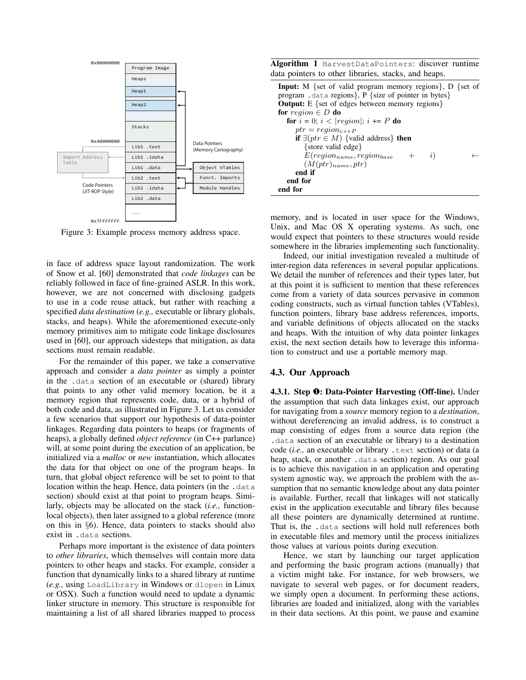

Figure 3: Example process memory address space.

in face of address space layout randomization. The work of Snow et al. [60] demonstrated that *code linkages* can be reliably followed in face of fine-grained ASLR. In this work, however, we are not concerned with disclosing gadgets to use in a code reuse attack, but rather with reaching a specified *data destination* (*e.g.,* executable or library globals, stacks, and heaps). While the aforementioned execute-only memory primitives aim to mitigate code linkage disclosures used in [60], our approach sidesteps that mitigation, as data sections must remain readable.

For the remainder of this paper, we take a conservative approach and consider a *data pointer* as simply a pointer in the .data section of an executable or (shared) library that points to any other valid memory location, be it a memory region that represents code, data, or a hybrid of both code and data, as illustrated in Figure 3. Let us consider a few scenarios that support our hypothesis of data-pointer linkages. Regarding data pointers to heaps (or fragments of heaps), a globally defined *object reference* (in C++ parlance) will, at some point during the execution of an application, be initialized via a *malloc* or *new* instantiation, which allocates the data for that object on one of the program heaps. In turn, that global object reference will be set to point to that location within the heap. Hence, data pointers (in the .data section) should exist at that point to program heaps. Similarly, objects may be allocated on the stack (*i.e.,* functionlocal objects), then later assigned to a global reference (more on this in §6). Hence, data pointers to stacks should also exist in .data sections.

Perhaps more important is the existence of data pointers to *other libraries*, which themselves will contain more data pointers to other heaps and stacks. For example, consider a function that dynamically links to a shared library at runtime (*e.g.,* using LoadLibrary in Windows or dlopen in Linux or OSX). Such a function would need to update a dynamic linker structure in memory. This structure is responsible for maintaining a list of all shared libraries mapped to process

|  |  | Algorithm 1 HarvestDataPointers: discover runtime    |  |  |
|--|--|------------------------------------------------------|--|--|
|  |  | data pointers to other libraries, stacks, and heaps. |  |  |

| <b>Input:</b> M {set of valid program memory regions}, D {set of<br>program. $data$ regions, P {size of pointer in bytes} |
|---------------------------------------------------------------------------------------------------------------------------|
| <b>Output:</b> E {set of edges between memory regions}                                                                    |
| for region $\in D$ do                                                                                                     |
| <b>for</b> $i = 0$ ; $i <  region $ ; $i += P$ <b>do</b>                                                                  |
| $ptr = region_{i \cdot i + P}$                                                                                            |
| if $\exists (ptr \in M)$ {valid address} then                                                                             |
| {store valid edge}                                                                                                        |
| $E(region_{name}, region_{base})$<br>i)                                                                                   |
| $(M(ptr)_{name},ptr)$                                                                                                     |
| end if                                                                                                                    |
| end for                                                                                                                   |
| end for                                                                                                                   |
|                                                                                                                           |

memory, and is located in user space for the Windows, Unix, and Mac OS X operating systems. As such, one would expect that pointers to these structures would reside somewhere in the libraries implementing such functionality.

Indeed, our initial investigation revealed a multitude of inter-region data references in several popular applications. We detail the number of references and their types later, but at this point it is sufficient to mention that these references come from a variety of data sources pervasive in common coding constructs, such as virtual function tables (VTables), function pointers, library base address references, imports, and variable definitions of objects allocated on the stacks and heaps. With the intuition of why data pointer linkages exist, the next section details how to leverage this information to construct and use a portable memory map.

#### 4.3. Our Approach

4.3.1. Step **O**: Data-Pointer Harvesting (Off-line). Under the assumption that such data linkages exist, our approach for navigating from a *source* memory region to a *destination*, without dereferencing an invalid address, is to construct a map consisting of edges from a source data region (the .data section of an executable or library) to a destination code (*i.e.*, an executable or library .text section) or data (a heap, stack, or another .data section) region. As our goal is to achieve this navigation in an application and operating system agnostic way, we approach the problem with the assumption that no semantic knowledge about any data pointer is available. Further, recall that linkages will not statically exist in the application executable and library files because all these pointers are dynamically determined at runtime. That is, the .data sections will hold null references both in executable files and memory until the process initializes those values at various points during execution.

Hence, we start by launching our target application and performing the basic program actions (manually) that a victim might take. For instance, for web browsers, we navigate to several web pages, or for document readers, we simply open a document. In performing these actions, libraries are loaded and initialized, along with the variables in their data sections. At this point, we pause and examine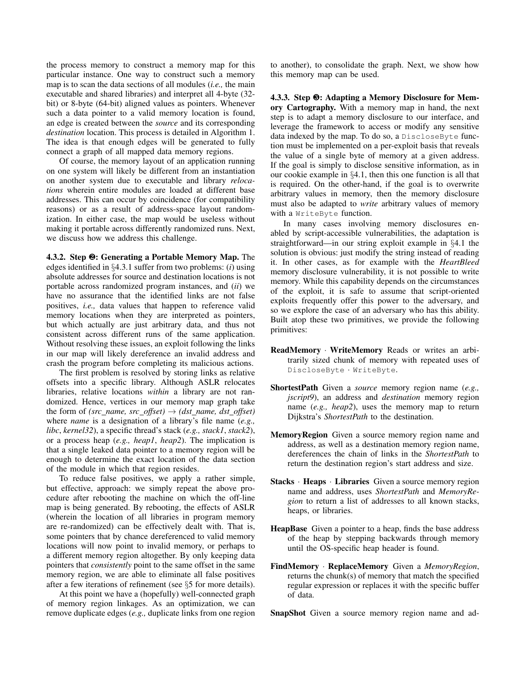the process memory to construct a memory map for this particular instance. One way to construct such a memory map is to scan the data sections of all modules (*i.e.,* the main executable and shared libraries) and interpret all 4-byte (32 bit) or 8-byte (64-bit) aligned values as pointers. Whenever such a data pointer to a valid memory location is found, an edge is created between the *source* and its corresponding *destination* location. This process is detailed in Algorithm 1. The idea is that enough edges will be generated to fully connect a graph of all mapped data memory regions.

Of course, the memory layout of an application running on one system will likely be different from an instantiation on another system due to executable and library *relocations* wherein entire modules are loaded at different base addresses. This can occur by coincidence (for compatibility reasons) or as a result of address-space layout randomization. In either case, the map would be useless without making it portable across differently randomized runs. Next, we discuss how we address this challenge.

4.3.2. Step ❷: Generating a Portable Memory Map. The edges identified in §4.3.1 suffer from two problems: (*i*) using absolute addresses for source and destination locations is not portable across randomized program instances, and (*ii*) we have no assurance that the identified links are not false positives, *i.e.,* data values that happen to reference valid memory locations when they are interpreted as pointers, but which actually are just arbitrary data, and thus not consistent across different runs of the same application. Without resolving these issues, an exploit following the links in our map will likely dereference an invalid address and crash the program before completing its malicious actions.

The first problem is resolved by storing links as relative offsets into a specific library. Although ASLR relocates libraries, relative locations *within* a library are not randomized. Hence, vertices in our memory map graph take the form of *(src\_name, src\_offset)*  $\rightarrow$  *(dst\_name, dst\_offset)* where *name* is a designation of a library's file name (*e.g., libc*, *kernel32*), a specific thread's stack (*e.g., stack1*, *stack2*), or a process heap (*e.g., heap1*, *heap2*). The implication is that a single leaked data pointer to a memory region will be enough to determine the exact location of the data section of the module in which that region resides.

To reduce false positives, we apply a rather simple, but effective, approach: we simply repeat the above procedure after rebooting the machine on which the off-line map is being generated. By rebooting, the effects of ASLR (wherein the location of all libraries in program memory are re-randomized) can be effectively dealt with. That is, some pointers that by chance dereferenced to valid memory locations will now point to invalid memory, or perhaps to a different memory region altogether. By only keeping data pointers that *consistently* point to the same offset in the same memory region, we are able to eliminate all false positives after a few iterations of refinement (see §5 for more details).

At this point we have a (hopefully) well-connected graph of memory region linkages. As an optimization, we can remove duplicate edges (*e.g.,* duplicate links from one region to another), to consolidate the graph. Next, we show how this memory map can be used.

4.3.3. Step ❸: Adapting a Memory Disclosure for Memory Cartography. With a memory map in hand, the next step is to adapt a memory disclosure to our interface, and leverage the framework to access or modify any sensitive data indexed by the map. To do so, a DiscloseByte function must be implemented on a per-exploit basis that reveals the value of a single byte of memory at a given address. If the goal is simply to disclose sensitive information, as in our cookie example in §4.1, then this one function is all that is required. On the other-hand, if the goal is to overwrite arbitrary values in memory, then the memory disclosure must also be adapted to *write* arbitrary values of memory with a WriteByte function.

In many cases involving memory disclosures enabled by script-accessible vulnerabilities, the adaptation is straightforward—in our string exploit example in §4.1 the solution is obvious: just modify the string instead of reading it. In other cases, as for example with the *HeartBleed* memory disclosure vulnerability, it is not possible to write memory. While this capability depends on the circumstances of the exploit, it is safe to assume that script-oriented exploits frequently offer this power to the adversary, and so we explore the case of an adversary who has this ability. Built atop these two primitives, we provide the following primitives:

- ReadMemory · WriteMemory Reads or writes an arbitrarily sized chunk of memory with repeated uses of DiscloseByte · WriteByte.
- ShortestPath Given a *source* memory region name (*e.g., jscript9*), an address and *destination* memory region name (*e.g., heap2*), uses the memory map to return Dijkstra's *ShortestPath* to the destination.
- MemoryRegion Given a source memory region name and address, as well as a destination memory region name, dereferences the chain of links in the *ShortestPath* to return the destination region's start address and size.
- Stacks · Heaps · Libraries Given a source memory region name and address, uses *ShortestPath* and *MemoryRegion* to return a list of addresses to all known stacks, heaps, or libraries.
- HeapBase Given a pointer to a heap, finds the base address of the heap by stepping backwards through memory until the OS-specific heap header is found.
- FindMemory · ReplaceMemory Given a *MemoryRegion*, returns the chunk(s) of memory that match the specified regular expression or replaces it with the specific buffer of data.

SnapShot Given a source memory region name and ad-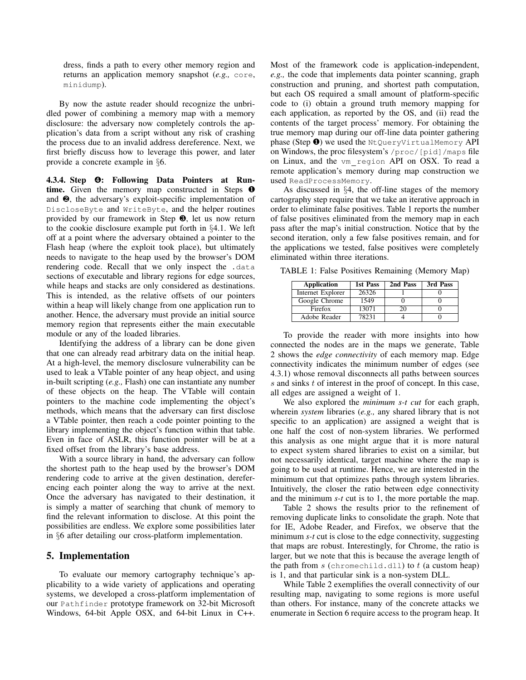dress, finds a path to every other memory region and returns an application memory snapshot (*e.g.,* core, minidump).

By now the astute reader should recognize the unbridled power of combining a memory map with a memory disclosure: the adversary now completely controls the application's data from a script without any risk of crashing the process due to an invalid address dereference. Next, we first briefly discuss how to leverage this power, and later provide a concrete example in §6.

4.3.4. Step ❹: Following Data Pointers at Runtime. Given the memory map constructed in Steps  $\bullet$ and ❷, the adversary's exploit-specific implementation of DiscloseByte and WriteByte, and the helper routines provided by our framework in Step ❸, let us now return to the cookie disclosure example put forth in §4.1. We left off at a point where the adversary obtained a pointer to the Flash heap (where the exploit took place), but ultimately needs to navigate to the heap used by the browser's DOM rendering code. Recall that we only inspect the .data sections of executable and library regions for edge sources, while heaps and stacks are only considered as destinations. This is intended, as the relative offsets of our pointers within a heap will likely change from one application run to another. Hence, the adversary must provide an initial source memory region that represents either the main executable module or any of the loaded libraries.

Identifying the address of a library can be done given that one can already read arbitrary data on the initial heap. At a high-level, the memory disclosure vulnerability can be used to leak a VTable pointer of any heap object, and using in-built scripting (*e.g.,* Flash) one can instantiate any number of these objects on the heap. The VTable will contain pointers to the machine code implementing the object's methods, which means that the adversary can first disclose a VTable pointer, then reach a code pointer pointing to the library implementing the object's function within that table. Even in face of ASLR, this function pointer will be at a fixed offset from the library's base address.

With a source library in hand, the adversary can follow the shortest path to the heap used by the browser's DOM rendering code to arrive at the given destination, dereferencing each pointer along the way to arrive at the next. Once the adversary has navigated to their destination, it is simply a matter of searching that chunk of memory to find the relevant information to disclose. At this point the possibilities are endless. We explore some possibilities later in §6 after detailing our cross-platform implementation.

# 5. Implementation

To evaluate our memory cartography technique's applicability to a wide variety of applications and operating systems, we developed a cross-platform implementation of our Pathfinder prototype framework on 32-bit Microsoft Windows, 64-bit Apple OSX, and 64-bit Linux in C++. Most of the framework code is application-independent, *e.g.,* the code that implements data pointer scanning, graph construction and pruning, and shortest path computation, but each OS required a small amount of platform-specific code to (i) obtain a ground truth memory mapping for each application, as reported by the OS, and (ii) read the contents of the target process' memory. For obtaining the true memory map during our off-line data pointer gathering phase (Step ❶) we used the NtQueryVirtualMemory API on Windows, the proc filesystem's /proc/[pid]/maps file on Linux, and the vm region API on OSX. To read a remote application's memory during map construction we used ReadProcessMemory.

As discussed in §4, the off-line stages of the memory cartography step require that we take an iterative approach in order to eliminate false positives. Table 1 reports the number of false positives eliminated from the memory map in each pass after the map's initial construction. Notice that by the second iteration, only a few false positives remain, and for the applications we tested, false positives were completely eliminated within three iterations.

TABLE 1: False Positives Remaining (Memory Map)

| <b>Application</b> | 1st Pass | 2nd Pass | 3rd Pass |  |
|--------------------|----------|----------|----------|--|
| Internet Explorer  | 26326    |          |          |  |
| Google Chrome      | 1549     |          |          |  |
| Firefox            | 13071    | 20       |          |  |
| Adobe Reader       | 78231    |          |          |  |

To provide the reader with more insights into how connected the nodes are in the maps we generate, Table 2 shows the *edge connectivity* of each memory map. Edge connectivity indicates the minimum number of edges (see 4.3.1) whose removal disconnects all paths between sources s and sinks t of interest in the proof of concept. In this case, all edges are assigned a weight of 1.

We also explored the *minimum s-t cut* for each graph, wherein *system* libraries (*e.g.,* any shared library that is not specific to an application) are assigned a weight that is one half the cost of non-system libraries. We performed this analysis as one might argue that it is more natural to expect system shared libraries to exist on a similar, but not necessarily identical, target machine where the map is going to be used at runtime. Hence, we are interested in the minimum cut that optimizes paths through system libraries. Intuitively, the closer the ratio between edge connectivity and the minimum *s-t* cut is to 1, the more portable the map.

Table 2 shows the results prior to the refinement of removing duplicate links to consolidate the graph. Note that for IE, Adobe Reader, and Firefox, we observe that the minimum *s-t* cut is close to the edge connectivity, suggesting that maps are robust. Interestingly, for Chrome, the ratio is larger, but we note that this is because the average length of the path from  $s$  (chromechild.dll) to  $t$  (a custom heap) is 1, and that particular sink is a non-system DLL.

While Table 2 exemplifies the overall connectivity of our resulting map, navigating to some regions is more useful than others. For instance, many of the concrete attacks we enumerate in Section 6 require access to the program heap. It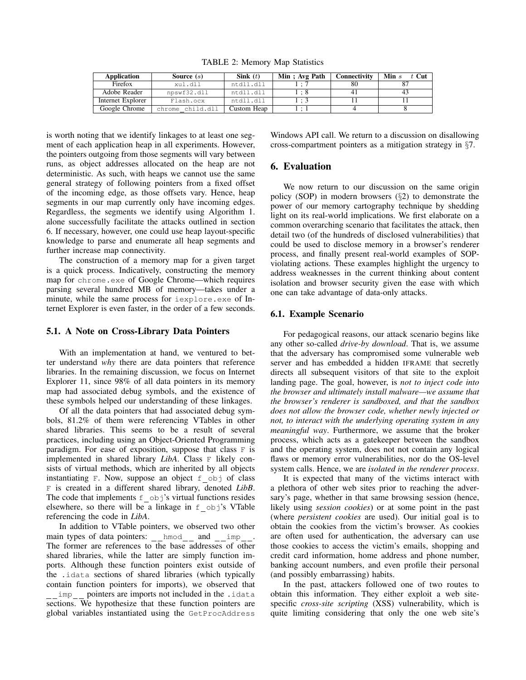TABLE 2: Memory Map Statistics

| Application       | Source $(s)$     | Sink $(t)$  | Min : Avg Path  | <b>Connectivity</b> | Min $s$<br>$t\,$ Cut |
|-------------------|------------------|-------------|-----------------|---------------------|----------------------|
| Firefox           | xul.dll          | ntdll.dll   | $\cdot$ $\cdot$ | 80                  |                      |
| Adobe Reader      | npswf32.dll      | ntdll.dll   |                 |                     |                      |
| Internet Explorer | Flash.ocx        | ntdll.dll   | : 3             |                     |                      |
| Google Chrome     | chrome child.dll | Custom Heap | $\cdot$ .       |                     |                      |

is worth noting that we identify linkages to at least one segment of each application heap in all experiments. However, the pointers outgoing from those segments will vary between runs, as object addresses allocated on the heap are not deterministic. As such, with heaps we cannot use the same general strategy of following pointers from a fixed offset of the incoming edge, as those offsets vary. Hence, heap segments in our map currently only have incoming edges. Regardless, the segments we identify using Algorithm 1. alone successfully facilitate the attacks outlined in section 6. If necessary, however, one could use heap layout-specific knowledge to parse and enumerate all heap segments and further increase map connectivity.

The construction of a memory map for a given target is a quick process. Indicatively, constructing the memory map for chrome.exe of Google Chrome—which requires parsing several hundred MB of memory—takes under a minute, while the same process for iexplore.exe of Internet Explorer is even faster, in the order of a few seconds.

#### 5.1. A Note on Cross-Library Data Pointers

With an implementation at hand, we ventured to better understand *why* there are data pointers that reference libraries. In the remaining discussion, we focus on Internet Explorer 11, since 98% of all data pointers in its memory map had associated debug symbols, and the existence of these symbols helped our understanding of these linkages.

Of all the data pointers that had associated debug symbols, 81.2% of them were referencing VTables in other shared libraries. This seems to be a result of several practices, including using an Object-Oriented Programming paradigm. For ease of exposition, suppose that class  $F$  is implemented in shared library *LibA*. Class F likely consists of virtual methods, which are inherited by all objects instantiating F. Now, suppose an object  $f$  obj of class F is created in a different shared library, denoted *LibB*. The code that implements  $f$  obj's virtual functions resides elsewhere, so there will be a linkage in  $f_{\text{obj}}$ 's VTable referencing the code in *LibA*.

In addition to VTable pointers, we observed two other main types of data pointers:  $\frac{m}{n}$   $\frac{1}{n}$  and  $\frac{1}{n}$   $\frac{1}{n}$   $\frac{1}{n}$ The former are references to the base addresses of other shared libraries, while the latter are simply function imports. Although these function pointers exist outside of the .idata sections of shared libraries (which typically contain function pointers for imports), we observed that  $\begin{array}{c} \text{S} \\ \text{S} \end{array}$  pointers are imports not included in the .idata sections. We hypothesize that these function pointers are global variables instantiated using the GetProcAddress Windows API call. We return to a discussion on disallowing cross-compartment pointers as a mitigation strategy in §7.

## 6. Evaluation

We now return to our discussion on the same origin policy (SOP) in modern browsers (§2) to demonstrate the power of our memory cartography technique by shedding light on its real-world implications. We first elaborate on a common overarching scenario that facilitates the attack, then detail two (of the hundreds of disclosed vulnerabilities) that could be used to disclose memory in a browser's renderer process, and finally present real-world examples of SOPviolating actions. These examples highlight the urgency to address weaknesses in the current thinking about content isolation and browser security given the ease with which one can take advantage of data-only attacks.

#### 6.1. Example Scenario

For pedagogical reasons, our attack scenario begins like any other so-called *drive-by download*. That is, we assume that the adversary has compromised some vulnerable web server and has embedded a hidden IFRAME that secretly directs all subsequent visitors of that site to the exploit landing page. The goal, however, is *not to inject code into the browser and ultimately install malware—we assume that the browser's renderer is sandboxed, and that the sandbox does not allow the browser code, whether newly injected or not, to interact with the underlying operating system in any meaningful way*. Furthermore, we assume that the broker process, which acts as a gatekeeper between the sandbox and the operating system, does not not contain any logical flaws or memory error vulnerabilities, nor do the OS-level system calls. Hence, we are *isolated in the renderer process*.

It is expected that many of the victims interact with a plethora of other web sites prior to reaching the adversary's page, whether in that same browsing session (hence, likely using *session cookies*) or at some point in the past (where *persistent cookies* are used). Our initial goal is to obtain the cookies from the victim's browser. As cookies are often used for authentication, the adversary can use those cookies to access the victim's emails, shopping and credit card information, home address and phone number, banking account numbers, and even profile their personal (and possibly embarrassing) habits.

In the past, attackers followed one of two routes to obtain this information. They either exploit a web sitespecific *cross-site scripting* (XSS) vulnerability, which is quite limiting considering that only the one web site's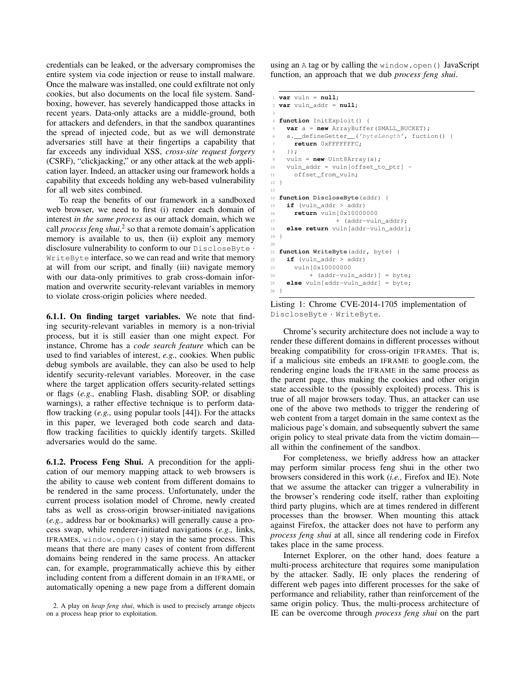credentials can be leaked, or the adversary compromises the entire system via code injection or reuse to install malware. Once the malware was installed, one could exfiltrate not only cookies, but also documents on the local file system. Sandboxing, however, has severely handicapped those attacks in recent years. Data-only attacks are a middle-ground, both for attackers and defenders, in that the sandbox quarantines the spread of injected code, but as we will demonstrate adversaries still have at their fingertips a capability that far exceeds any individual XSS, *cross-site request forgery* (CSRF), "clickjacking," or any other attack at the web application layer. Indeed, an attacker using our framework holds a capability that exceeds holding any web-based vulnerability for all web sites combined.

To reap the benefits of our framework in a sandboxed web browser, we need to first (i) render each domain of interest *in the same process* as our attack domain, which we call *process feng shui*, 2 so that a remote domain's application memory is available to us, then (ii) exploit any memory disclosure vulnerability to conform to our DiscloseByte · WriteByte interface, so we can read and write that memory at will from our script, and finally (iii) navigate memory with our data-only primitives to grab cross-domain information and overwrite security-relevant variables in memory to violate cross-origin policies where needed.

6.1.1. On finding target variables. We note that finding security-relevant variables in memory is a non-trivial process, but it is still easier than one might expect. For instance, Chrome has a *code search feature* which can be used to find variables of interest, *e.g.,* cookies. When public debug symbols are available, they can also be used to help identify security-relevant variables. Moreover, in the case where the target application offers security-related settings or flags (*e.g.,* enabling Flash, disabling SOP, or disabling warnings), a rather effective technique is to perform dataflow tracking (*e.g.,* using popular tools [44]). For the attacks in this paper, we leveraged both code search and dataflow tracking facilities to quickly identify targets. Skilled adversaries would do the same.

6.1.2. Process Feng Shui. A precondition for the application of our memory mapping attack to web browsers is the ability to cause web content from different domains to be rendered in the same process. Unfortunately, under the current process isolation model of Chrome, newly created tabs as well as cross-origin browser-initiated navigations (*e.g.,* address bar or bookmarks) will generally cause a process swap, while renderer-initiated navigations (*e.g.,* links, IFRAMEs, window.open()) stay in the same process. This means that there are many cases of content from different domains being rendered in the same process. An attacker can, for example, programmatically achieve this by either including content from a different domain in an IFRAME, or automatically opening a new page from a different domain using an A tag or by calling the window.open() JavaScript function, an approach that we dub *process feng shui*.

```
1 var vuln = null;
2 var vuln_addr = null;
 3
  function InitExploit() {
    5 var a = new ArrayBuffer(SMALL_BUCKET);
    a. _defineGetter_('byteLength', fuction() {
     7 return 0xFFFFFFFC;
    8 });
9 vuln = new Uint8Array(a);
10 vuln_addr = vuln[offset_to_ptr] -
11 offset_from_vuln;
12 }
13
14 function DiscloseByte(addr) {
15 if (vuln_addr > addr)
16 return vuln[0x10000000
17 + (addr-vullnaddr);
18 else return vuln[addr-vuln_addr];
19 }
20
21 function WriteByte(addr, byte) {
22 if (vuln_addr > addr)
23 vuln[0x10000000
24 + (addr-vuln addr) = byte;
25 else vuln[addr-vuln_addr] = byte;
26 }
```
Listing 1: Chrome CVE-2014-1705 implementation of DiscloseByte · WriteByte.

Chrome's security architecture does not include a way to render these different domains in different processes without breaking compatibility for cross-origin IFRAMEs. That is, if a malicious site embeds an IFRAME to google.com, the rendering engine loads the IFRAME in the same process as the parent page, thus making the cookies and other origin state accessible to the (possibly exploited) process. This is true of all major browsers today. Thus, an attacker can use one of the above two methods to trigger the rendering of web content from a target domain in the same context as the malicious page's domain, and subsequently subvert the same origin policy to steal private data from the victim domain all within the confinement of the sandbox.

For completeness, we briefly address how an attacker may perform similar process feng shui in the other two browsers considered in this work (*i.e.,* Firefox and IE). Note that we assume the attacker can trigger a vulnerability in the browser's rendering code itself, rather than exploiting third party plugins, which are at times rendered in different processes than the browser. When mounting this attack against Firefox, the attacker does not have to perform any *process feng shui* at all, since all rendering code in Firefox takes place in the same process.

Internet Explorer, on the other hand, does feature a multi-process architecture that requires some manipulation by the attacker. Sadly, IE only places the rendering of different web pages into different processes for the sake of performance and reliability, rather than reinforcement of the same origin policy. Thus, the multi-process architecture of IE can be overcome through *process feng shui* on the part

<sup>2.</sup> A play on *heap feng shui*, which is used to precisely arrange objects on a process heap prior to exploitation.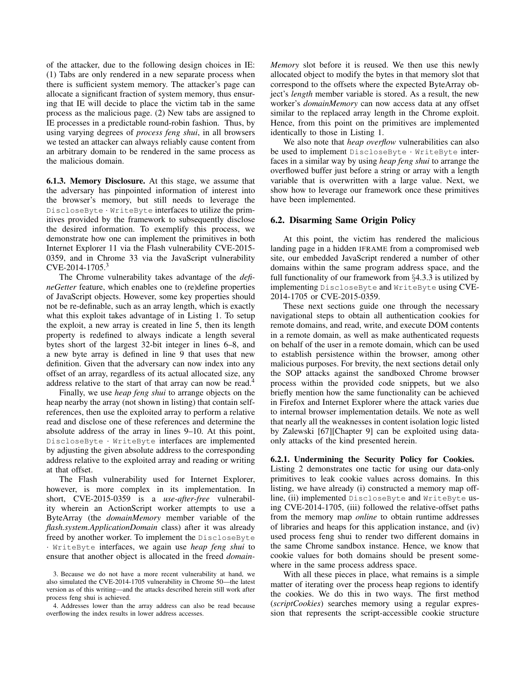of the attacker, due to the following design choices in IE: (1) Tabs are only rendered in a new separate process when there is sufficient system memory. The attacker's page can allocate a significant fraction of system memory, thus ensuring that IE will decide to place the victim tab in the same process as the malicious page. (2) New tabs are assigned to IE processes in a predictable round-robin fashion. Thus, by using varying degrees of *process feng shui*, in all browsers we tested an attacker can always reliably cause content from an arbitrary domain to be rendered in the same process as the malicious domain.

6.1.3. Memory Disclosure. At this stage, we assume that the adversary has pinpointed information of interest into the browser's memory, but still needs to leverage the DiscloseByte · WriteByte interfaces to utilize the primitives provided by the framework to subsequently disclose the desired information. To exemplify this process, we demonstrate how one can implement the primitives in both Internet Explorer 11 via the Flash vulnerability CVE-2015- 0359, and in Chrome 33 via the JavaScript vulnerability  $CVE-2014-1705.<sup>3</sup>$ 

The Chrome vulnerability takes advantage of the *defineGetter* feature, which enables one to (re)define properties of JavaScript objects. However, some key properties should not be re-definable, such as an array length, which is exactly what this exploit takes advantage of in Listing 1. To setup the exploit, a new array is created in line 5, then its length property is redefined to always indicate a length several bytes short of the largest 32-bit integer in lines 6–8, and a new byte array is defined in line 9 that uses that new definition. Given that the adversary can now index into any offset of an array, regardless of its actual allocated size, any address relative to the start of that array can now be read.<sup>4</sup>

Finally, we use *heap feng shui* to arrange objects on the heap nearby the array (not shown in listing) that contain selfreferences, then use the exploited array to perform a relative read and disclose one of these references and determine the absolute address of the array in lines 9–10. At this point, DiscloseByte · WriteByte interfaces are implemented by adjusting the given absolute address to the corresponding address relative to the exploited array and reading or writing at that offset.

The Flash vulnerability used for Internet Explorer, however, is more complex in its implementation. In short, CVE-2015-0359 is a *use-after-free* vulnerability wherein an ActionScript worker attempts to use a ByteArray (the *domainMemory* member variable of the *flash.system.ApplicationDomain* class) after it was already freed by another worker. To implement the DiscloseByte · WriteByte interfaces, we again use *heap feng shui* to ensure that another object is allocated in the freed *domain-* *Memory* slot before it is reused. We then use this newly allocated object to modify the bytes in that memory slot that correspond to the offsets where the expected ByteArray object's *length* member variable is stored. As a result, the new worker's *domainMemory* can now access data at any offset similar to the replaced array length in the Chrome exploit. Hence, from this point on the primitives are implemented identically to those in Listing 1.

We also note that *heap overflow* vulnerabilities can also be used to implement DiscloseByte · WriteByte interfaces in a similar way by using *heap feng shui* to arrange the overflowed buffer just before a string or array with a length variable that is overwritten with a large value. Next, we show how to leverage our framework once these primitives have been implemented.

# 6.2. Disarming Same Origin Policy

At this point, the victim has rendered the malicious landing page in a hidden IFRAME from a compromised web site, our embedded JavaScript rendered a number of other domains within the same program address space, and the full functionality of our framework from §4.3.3 is utilized by implementing DiscloseByte and WriteByte using CVE-2014-1705 or CVE-2015-0359.

These next sections guide one through the necessary navigational steps to obtain all authentication cookies for remote domains, and read, write, and execute DOM contents in a remote domain, as well as make authenticated requests on behalf of the user in a remote domain, which can be used to establish persistence within the browser, among other malicious purposes. For brevity, the next sections detail only the SOP attacks against the sandboxed Chrome browser process within the provided code snippets, but we also briefly mention how the same functionality can be achieved in Firefox and Internet Explorer where the attack varies due to internal browser implementation details. We note as well that nearly all the weaknesses in content isolation logic listed by Zalewski [67][Chapter 9] can be exploited using dataonly attacks of the kind presented herein.

# 6.2.1. Undermining the Security Policy for Cookies.

Listing 2 demonstrates one tactic for using our data-only primitives to leak cookie values across domains. In this listing, we have already (i) constructed a memory map offline, (ii) implemented DiscloseByte and WriteByte using CVE-2014-1705, (iii) followed the relative-offset paths from the memory map *online* to obtain runtime addresses of libraries and heaps for this application instance, and (iv) used process feng shui to render two different domains in the same Chrome sandbox instance. Hence, we know that cookie values for both domains should be present somewhere in the same process address space.

With all these pieces in place, what remains is a simple matter of iterating over the process heap regions to identify the cookies. We do this in two ways. The first method (*scriptCookies*) searches memory using a regular expression that represents the script-accessible cookie structure

<sup>3.</sup> Because we do not have a more recent vulnerability at hand, we also simulated the CVE-2014-1705 vulnerability in Chrome 50—the latest version as of this writing—and the attacks described herein still work after process feng shui is achieved.

<sup>4.</sup> Addresses lower than the array address can also be read because overflowing the index results in lower address accesses.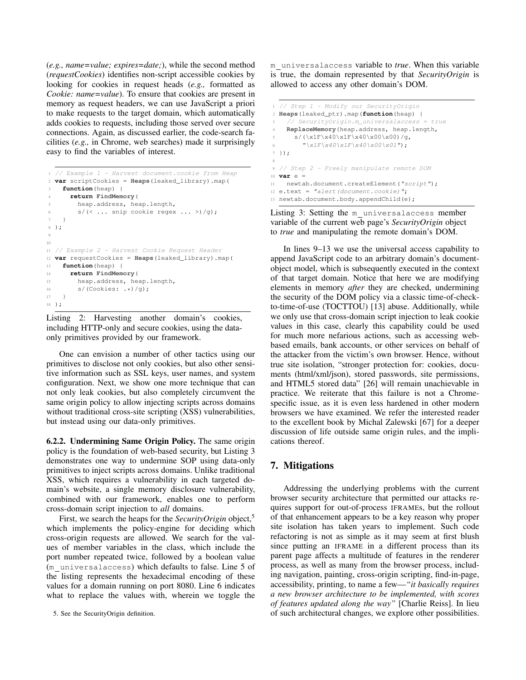(*e.g., name=value; expires=date;*), while the second method (*requestCookies*) identifies non-script accessible cookies by looking for cookies in request heads (*e.g.,* formatted as *Cookie: name=value*). To ensure that cookies are present in memory as request headers, we can use JavaScript a priori to make requests to the target domain, which automatically adds cookies to requests, including those served over secure connections. Again, as discussed earlier, the code-search facilities (*e.g.,* in Chrome, web searches) made it surprisingly easy to find the variables of interest.

```
1 // Example 1 - Harvest document.cookie from Heap
2 var scriptCookies = Heaps(leaked_library).map(
   function(heap) {
      4 return FindMemory(
        heap.address, heap.length,
6 s/(< ... snip cookie regex \ldots >)/g);
    7 }
8 );
9
10
11 // Example 2 - Harvest Cookie Request Header
12 var requestCookies = Heaps(leaked_library).map(
13 function(heap) {
14 return FindMemory(
15 heap.address, heap.length,
16 s/(Cookies: .*)/g);
   17 }
18 );
```
Listing 2: Harvesting another domain's cookies, including HTTP-only and secure cookies, using the dataonly primitives provided by our framework.

One can envision a number of other tactics using our primitives to disclose not only cookies, but also other sensitive information such as SSL keys, user names, and system configuration. Next, we show one more technique that can not only leak cookies, but also completely circumvent the same origin policy to allow injecting scripts across domains without traditional cross-site scripting (XSS) vulnerabilities, but instead using our data-only primitives.

6.2.2. Undermining Same Origin Policy. The same origin policy is the foundation of web-based security, but Listing 3 demonstrates one way to undermine SOP using data-only primitives to inject scripts across domains. Unlike traditional XSS, which requires a vulnerability in each targeted domain's website, a single memory disclosure vulnerability, combined with our framework, enables one to perform cross-domain script injection to *all* domains.

First, we search the heaps for the *SecurityOrigin* object,<sup>5</sup> which implements the policy-engine for deciding which cross-origin requests are allowed. We search for the values of member variables in the class, which include the port number repeated twice, followed by a boolean value (m universalaccess) which defaults to false. Line 5 of the listing represents the hexadecimal encoding of these values for a domain running on port 8080. Line 6 indicates what to replace the values with, wherein we toggle the

```
5. See the SecurityOrigin definition.
```
m universalaccess variable to *true*. When this variable is true, the domain represented by that *SecurityOrigin* is allowed to access any other domain's DOM.

```
1 // Step 1 - Modify our SecurityOrigin
2 Heaps(leaked_ptr).map(function(heap) {
    3 // SecurityOrigin.m_universalaccess = true
    4 ReplaceMemory(heap.address, heap.length,
      s/(\x1F\x40\x1F\x40\x00\x00)/g,6 "\times1F\&40\&1F\&40\&00\&01"7 });
8
9 // Step 2 - Freely manipulate remote DOM
10 var e =
11 newtab.document.createElement("script");
12 e.text = "alert(document.cookie)";
13 newtab.document.body.appendChild(e);
```
Listing 3: Setting the m universalaccess member variable of the current web page's *SecurityOrigin* object to *true* and manipulating the remote domain's DOM.

In lines 9–13 we use the universal access capability to append JavaScript code to an arbitrary domain's documentobject model, which is subsequently executed in the context of that target domain. Notice that here we are modifying elements in memory *after* they are checked, undermining the security of the DOM policy via a classic time-of-checkto-time-of-use (TOCTTOU) [13] abuse. Additionally, while we only use that cross-domain script injection to leak cookie values in this case, clearly this capability could be used for much more nefarious actions, such as accessing webbased emails, bank accounts, or other services on behalf of the attacker from the victim's own browser. Hence, without true site isolation, "stronger protection for: cookies, documents (html/xml/json), stored passwords, site permissions, and HTML5 stored data" [26] will remain unachievable in practice. We reiterate that this failure is not a Chromespecific issue, as it is even less hardened in other modern browsers we have examined. We refer the interested reader to the excellent book by Michal Zalewski [67] for a deeper discussion of life outside same origin rules, and the implications thereof.

# 7. Mitigations

Addressing the underlying problems with the current browser security architecture that permitted our attacks requires support for out-of-process IFRAMEs, but the rollout of that enhancement appears to be a key reason why proper site isolation has taken years to implement. Such code refactoring is not as simple as it may seem at first blush since putting an IFRAME in a different process than its parent page affects a multitude of features in the renderer process, as well as many from the browser process, including navigation, painting, cross-origin scripting, find-in-page, accessibility, printing, to name a few—*"it basically requires a new browser architecture to be implemented, with scores of features updated along the way"* [Charlie Reiss]. In lieu of such architectural changes, we explore other possibilities.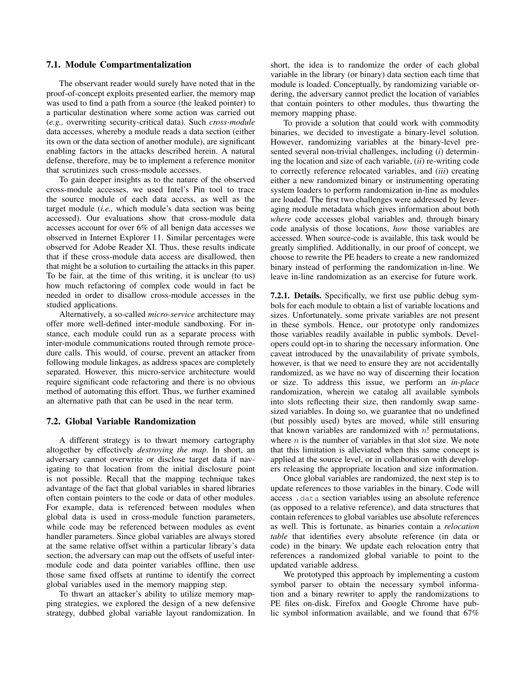### 7.1. Module Compartmentalization

The observant reader would surely have noted that in the proof-of-concept exploits presented earlier, the memory map was used to find a path from a source (the leaked pointer) to a particular destination where some action was carried out (*e.g.,* overwriting security-critical data). Such *cross-module* data accesses, whereby a module reads a data section (either its own or the data section of another module), are significant enabling factors in the attacks described herein. A natural defense, therefore, may be to implement a reference monitor that scrutinizes such cross-module accesses.

To gain deeper insights as to the nature of the observed cross-module accesses, we used Intel's Pin tool to trace the source module of each data access, as well as the target module (*i.e.,* which module's data section was being accessed). Our evaluations show that cross-module data accesses account for over 6% of all benign data accesses we observed in Internet Explorer 11. Similar percentages were observed for Adobe Reader XI. Thus, these results indicate that if these cross-module data access are disallowed, then that might be a solution to curtailing the attacks in this paper. To be fair, at the time of this writing, it is unclear (to us) how much refactoring of complex code would in fact be needed in order to disallow cross-module accesses in the studied applications.

Alternatively, a so-called *micro-service* architecture may offer more well-defined inter-module sandboxing. For instance, each module could run as a separate process with inter-module communications routed through remote procedure calls. This would, of course, prevent an attacker from following module linkages, as address spaces are completely separated. However, this micro-service architecture would require significant code refactoring and there is no obvious method of automating this effort. Thus, we further examined an alternative path that can be used in the near term.

#### 7.2. Global Variable Randomization

A different strategy is to thwart memory cartography altogether by effectively *destroying the map*. In short, an adversary cannot overwrite or disclose target data if navigating to that location from the initial disclosure point is not possible. Recall that the mapping technique takes advantage of the fact that global variables in shared libraries often contain pointers to the code or data of other modules. For example, data is referenced between modules when global data is used in cross-module function parameters, while code may be referenced between modules as event handler parameters. Since global variables are always stored at the same relative offset within a particular library's data section, the adversary can map out the offsets of useful intermodule code and data pointer variables offline, then use those same fixed offsets at runtime to identify the correct global variables used in the memory mapping step.

To thwart an attacker's ability to utilize memory mapping strategies, we explored the design of a new defensive strategy, dubbed global variable layout randomization. In short, the idea is to randomize the order of each global variable in the library (or binary) data section each time that module is loaded. Conceptually, by randomizing variable ordering, the adversary cannot predict the location of variables that contain pointers to other modules, thus thwarting the memory mapping phase.

To provide a solution that could work with commodity binaries, we decided to investigate a binary-level solution. However, randomizing variables at the binary-level presented several non-trivial challenges, including (*i*) determining the location and size of each variable, (*ii*) re-writing code to correctly reference relocated variables, and (*iii*) creating either a new randomized binary or instrumenting operating system loaders to perform randomization in-line as modules are loaded. The first two challenges were addressed by leveraging module metadata which gives information about both *where* code accesses global variables and, through binary code analysis of those locations, *how* those variables are accessed. When source-code is available, this task would be greatly simplified. Additionally, in our proof of concept, we choose to rewrite the PE headers to create a new randomized binary instead of performing the randomization in-line. We leave in-line randomization as an exercise for future work.

7.2.1. Details. Specifically, we first use public debug symbols for each module to obtain a list of variable locations and sizes. Unfortunately, some private variables are not present in these symbols. Hence, our prototype only randomizes those variables readily available in public symbols. Developers could opt-in to sharing the necessary information. One caveat introduced by the unavailability of private symbols, however, is that we need to ensure they are not accidentally randomized, as we have no way of discerning their location or size. To address this issue, we perform an *in-place* randomization, wherein we catalog all available symbols into slots reflecting their size, then randomly swap samesized variables. In doing so, we guarantee that no undefined (but possibly used) bytes are moved, while still ensuring that known variables are randomized with  $n!$  permutations, where  $n$  is the number of variables in that slot size. We note that this limitation is alleviated when this same concept is applied at the source level, or in collaboration with developers releasing the appropriate location and size information.

Once global variables are randomized, the next step is to update references to those variables in the binary. Code will access .data section variables using an absolute reference (as opposed to a relative reference), and data structures that contain references to global variables use absolute references as well. This is fortunate, as binaries contain a *relocation table* that identifies every absolute reference (in data or code) in the binary. We update each relocation entry that references a randomized global variable to point to the updated variable address.

We prototyped this approach by implementing a custom symbol parser to obtain the necessary symbol information and a binary rewriter to apply the randomizations to PE files on-disk. Firefox and Google Chrome have public symbol information available, and we found that 67%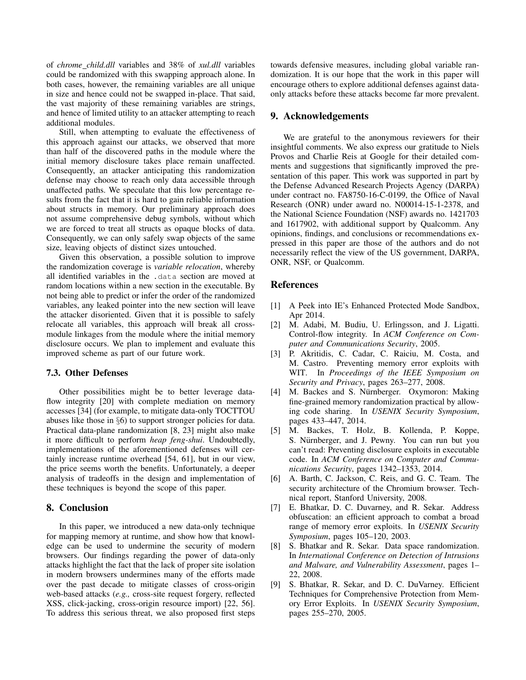of *chrome child.dll* variables and 38% of *xul.dll* variables could be randomized with this swapping approach alone. In both cases, however, the remaining variables are all unique in size and hence could not be swapped in-place. That said, the vast majority of these remaining variables are strings, and hence of limited utility to an attacker attempting to reach additional modules.

Still, when attempting to evaluate the effectiveness of this approach against our attacks, we observed that more than half of the discovered paths in the module where the initial memory disclosure takes place remain unaffected. Consequently, an attacker anticipating this randomization defense may choose to reach only data accessible through unaffected paths. We speculate that this low percentage results from the fact that it is hard to gain reliable information about structs in memory. Our preliminary approach does not assume comprehensive debug symbols, without which we are forced to treat all structs as opaque blocks of data. Consequently, we can only safely swap objects of the same size, leaving objects of distinct sizes untouched.

Given this observation, a possible solution to improve the randomization coverage is *variable relocation*, whereby all identified variables in the .data section are moved at random locations within a new section in the executable. By not being able to predict or infer the order of the randomized variables, any leaked pointer into the new section will leave the attacker disoriented. Given that it is possible to safely relocate all variables, this approach will break all crossmodule linkages from the module where the initial memory disclosure occurs. We plan to implement and evaluate this improved scheme as part of our future work.

#### 7.3. Other Defenses

Other possibilities might be to better leverage dataflow integrity [20] with complete mediation on memory accesses [34] (for example, to mitigate data-only TOCTTOU abuses like those in §6) to support stronger policies for data. Practical data-plane randomization [8, 23] might also make it more difficult to perform *heap feng-shui*. Undoubtedly, implementations of the aforementioned defenses will certainly increase runtime overhead [54, 61], but in our view, the price seems worth the benefits. Unfortunately, a deeper analysis of tradeoffs in the design and implementation of these techniques is beyond the scope of this paper.

# 8. Conclusion

In this paper, we introduced a new data-only technique for mapping memory at runtime, and show how that knowledge can be used to undermine the security of modern browsers. Our findings regarding the power of data-only attacks highlight the fact that the lack of proper site isolation in modern browsers undermines many of the efforts made over the past decade to mitigate classes of cross-origin web-based attacks (*e.g.,* cross-site request forgery, reflected XSS, click-jacking, cross-origin resource import) [22, 56]. To address this serious threat, we also proposed first steps towards defensive measures, including global variable randomization. It is our hope that the work in this paper will encourage others to explore additional defenses against dataonly attacks before these attacks become far more prevalent.

## 9. Acknowledgements

We are grateful to the anonymous reviewers for their insightful comments. We also express our gratitude to Niels Provos and Charlie Reis at Google for their detailed comments and suggestions that significantly improved the presentation of this paper. This work was supported in part by the Defense Advanced Research Projects Agency (DARPA) under contract no. FA8750-16-C-0199, the Office of Naval Research (ONR) under award no. N00014-15-1-2378, and the National Science Foundation (NSF) awards no. 1421703 and 1617902, with additional support by Qualcomm. Any opinions, findings, and conclusions or recommendations expressed in this paper are those of the authors and do not necessarily reflect the view of the US government, DARPA, ONR, NSF, or Qualcomm.

# References

- [1] A Peek into IE's Enhanced Protected Mode Sandbox, Apr 2014.
- [2] M. Adabi, M. Budiu, U. Erlingsson, and J. Ligatti. Control-flow integrity. In *ACM Conference on Computer and Communications Security*, 2005.
- [3] P. Akritidis, C. Cadar, C. Raiciu, M. Costa, and M. Castro. Preventing memory error exploits with WIT. In *Proceedings of the IEEE Symposium on Security and Privacy*, pages 263–277, 2008.
- [4] M. Backes and S. Nürnberger. Oxymoron: Making fine-grained memory randomization practical by allowing code sharing. In *USENIX Security Symposium*, pages 433–447, 2014.
- [5] M. Backes, T. Holz, B. Kollenda, P. Koppe, S. Nürnberger, and J. Pewny. You can run but you can't read: Preventing disclosure exploits in executable code. In *ACM Conference on Computer and Communications Security*, pages 1342–1353, 2014.
- [6] A. Barth, C. Jackson, C. Reis, and G. C. Team. The security architecture of the Chromium browser. Technical report, Stanford University, 2008.
- [7] E. Bhatkar, D. C. Duvarney, and R. Sekar. Address obfuscation: an efficient approach to combat a broad range of memory error exploits. In *USENIX Security Symposium*, pages 105–120, 2003.
- [8] S. Bhatkar and R. Sekar. Data space randomization. In *International Conference on Detection of Intrusions and Malware, and Vulnerability Assessment*, pages 1– 22, 2008.
- [9] S. Bhatkar, R. Sekar, and D. C. DuVarney. Efficient Techniques for Comprehensive Protection from Memory Error Exploits. In *USENIX Security Symposium*, pages 255–270, 2005.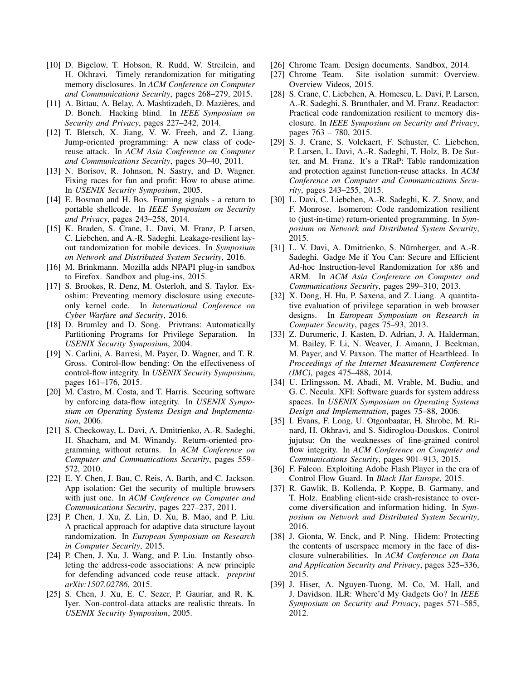- [10] D. Bigelow, T. Hobson, R. Rudd, W. Streilein, and H. Okhravi. Timely rerandomization for mitigating memory disclosures. In *ACM Conference on Computer and Communications Security*, pages 268–279, 2015.
- [11] A. Bittau, A. Belay, A. Mashtizadeh, D. Mazières, and D. Boneh. Hacking blind. In *IEEE Symposium on Security and Privacy*, pages 227–242, 2014.
- [12] T. Bletsch, X. Jiang, V. W. Freeh, and Z. Liang. Jump-oriented programming: A new class of codereuse attack. In *ACM Asia Conference on Computer and Communications Security*, pages 30–40, 2011.
- [13] N. Borisov, R. Johnson, N. Sastry, and D. Wagner. Fixing races for fun and profit: How to abuse atime. In *USENIX Security Symposium*, 2005.
- [14] E. Bosman and H. Bos. Framing signals a return to portable shellcode. In *IEEE Symposium on Security and Privacy*, pages 243–258, 2014.
- [15] K. Braden, S. Crane, L. Davi, M. Franz, P. Larsen, C. Liebchen, and A.-R. Sadeghi. Leakage-resilient layout randomization for mobile devices. In *Symposium on Network and Distributed System Security*, 2016.
- [16] M. Brinkmann. Mozilla adds NPAPI plug-in sandbox to Firefox. Sandbox and plug-ins, 2015.
- [17] S. Brookes, R. Denz, M. Osterloh, and S. Taylor. Exoshim: Preventing memory disclosure using executeonly kernel code. In *International Conference on Cyber Warfare and Security*, 2016.
- [18] D. Brumley and D. Song. Privtrans: Automatically Partitioning Programs for Privilege Separation. In *USENIX Security Symposium*, 2004.
- [19] N. Carlini, A. Barresi, M. Payer, D. Wagner, and T. R. Gross. Control-flow bending: On the effectiveness of control-flow integrity. In *USENIX Security Symposium*, pages 161–176, 2015.
- [20] M. Castro, M. Costa, and T. Harris. Securing software by enforcing data-flow integrity. In *USENIX Symposium on Operating Systems Design and Implementation*, 2006.
- [21] S. Checkoway, L. Davi, A. Dmitrienko, A.-R. Sadeghi, H. Shacham, and M. Winandy. Return-oriented programming without returns. In *ACM Conference on Computer and Communications Security*, pages 559– 572, 2010.
- [22] E. Y. Chen, J. Bau, C. Reis, A. Barth, and C. Jackson. App isolation: Get the security of multiple browsers with just one. In *ACM Conference on Computer and Communications Security*, pages 227–237, 2011.
- [23] P. Chen, J. Xu, Z. Lin, D. Xu, B. Mao, and P. Liu. A practical approach for adaptive data structure layout randomization. In *European Symposium on Research in Computer Security*, 2015.
- [24] P. Chen, J. Xu, J. Wang, and P. Liu. Instantly obsoleting the address-code associations: A new principle for defending advanced code reuse attack. *preprint arXiv:1507.02786*, 2015.
- [25] S. Chen, J. Xu, E. C. Sezer, P. Gauriar, and R. K. Iyer. Non-control-data attacks are realistic threats. In *USENIX Security Symposium*, 2005.
- [26] Chrome Team. Design documents. Sandbox, 2014.
- [27] Chrome Team. Site isolation summit: Overview. Overview Videos, 2015.
- [28] S. Crane, C. Liebchen, A. Homescu, L. Davi, P. Larsen, A.-R. Sadeghi, S. Brunthaler, and M. Franz. Readactor: Practical code randomization resilient to memory disclosure. In *IEEE Symposium on Security and Privacy*, pages 763 – 780, 2015.
- [29] S. J. Crane, S. Volckaert, F. Schuster, C. Liebchen, P. Larsen, L. Davi, A.-R. Sadeghi, T. Holz, B. De Sutter, and M. Franz. It's a TRaP: Table randomization and protection against function-reuse attacks. In *ACM Conference on Computer and Communications Security*, pages 243–255, 2015.
- [30] L. Davi, C. Liebchen, A.-R. Sadeghi, K. Z. Snow, and F. Monrose. Isomeron: Code randomization resilient to (just-in-time) return-oriented programming. In *Symposium on Network and Distributed System Security*, 2015.
- [31] L. V. Davi, A. Dmitrienko, S. Nürnberger, and A.-R. Sadeghi. Gadge Me if You Can: Secure and Efficient Ad-hoc Instruction-level Randomization for x86 and ARM. In *ACM Asia Conference on Computer and Communications Security*, pages 299–310, 2013.
- [32] X. Dong, H. Hu, P. Saxena, and Z. Liang. A quantitative evaluation of privilege separation in web browser designs. In *European Symposium on Research in Computer Security*, pages 75–93, 2013.
- [33] Z. Durumeric, J. Kasten, D. Adrian, J. A. Halderman, M. Bailey, F. Li, N. Weaver, J. Amann, J. Beekman, M. Payer, and V. Paxson. The matter of Heartbleed. In *Proceedings of the Internet Measurement Conference (IMC)*, pages 475–488, 2014.
- [34] U. Erlingsson, M. Abadi, M. Vrable, M. Budiu, and G. C. Necula. XFI: Software guards for system address spaces. In *USENIX Symposium on Operating Systems Design and Implementation*, pages 75–88, 2006.
- [35] I. Evans, F. Long, U. Otgonbaatar, H. Shrobe, M. Rinard, H. Okhravi, and S. Sidiroglou-Douskos. Control jujutsu: On the weaknesses of fine-grained control flow integrity. In *ACM Conference on Computer and Communications Security*, pages 901–913, 2015.
- [36] F. Falcon. Exploiting Adobe Flash Player in the era of Control Flow Guard. In *Black Hat Europe*, 2015.
- [37] R. Gawlik, B. Kollenda, P. Koppe, B. Garmany, and T. Holz. Enabling client-side crash-resistance to overcome diversification and information hiding. In *Symposium on Network and Distributed System Security*, 2016.
- [38] J. Gionta, W. Enck, and P. Ning. Hidem: Protecting the contents of userspace memory in the face of disclosure vulnerabilities. In *ACM Conference on Data and Application Security and Privacy*, pages 325–336, 2015.
- [39] J. Hiser, A. Nguyen-Tuong, M. Co, M. Hall, and J. Davidson. ILR: Where'd My Gadgets Go? In *IEEE Symposium on Security and Privacy*, pages 571–585, 2012.